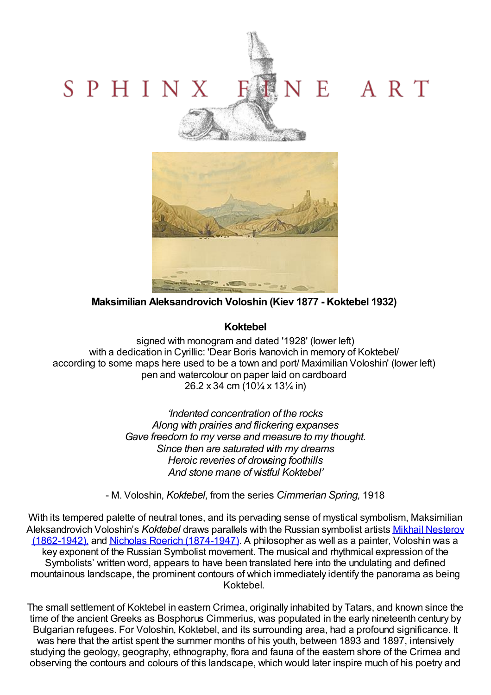## E ART SPHINX



**Maksimilian Aleksandrovich Voloshin (Kiev 1877 - Koktebel 1932)**

## **Koktebel**

signed with monogram and dated '1928' (lower left) with a dedication in Cyrillic: 'Dear Boris Ivanovich in memory of Koktebel/ according to some maps here used to be a town and port/ Maximilian Voloshin' (lower left) pen and watercolour on paper laid on cardboard 26.2 x 34 cm (10¼ x 13¼ in)

> *'Indented concentration of the rocks Along with prairies and flickering expanses Gave freedom to my verse and measure to my thought. Since then are saturated with my dreams Heroic reveries of drowsing foothills And stone mane of wistful Koktebel'*

- M. Voloshin, *Koktebel,* from the series *Cimmerian Spring,* 1918

With its tempered palette of neutral tones, and its pervading sense of mystical symbolism, Maksimilian [Aleksandrovich](http://www.sphinxfineart.com/Nesterov-Mikhail-Vasilevich-DesktopDefault.aspx?tabid=45&tabindex=44&artistid=33284) Voloshin's *Koktebel* draws parallels with the Russian symbolist artists Mikhail Nesterov (1862-1942), and Nicholas Roerich [\(1874-1947\).](http://www.sphinxfineart.com/Roerich-Nikolai-Konstantinovich-DesktopDefault.aspx?tabid=45&tabindex=44&artistid=24804) A philosopher as well as a painter, Voloshin was a key exponent of the Russian Symbolist movement. The musical and rhythmical expression of the Symbolists' written word, appears to have been translated here into the undulating and defined mountainous landscape, the prominent contours of which immediately identify the panorama as being Koktebel.

The small settlement of Koktebel in eastern Crimea, originally inhabited by Tatars, and known since the time of the ancient Greeks as Bosphorus Cimmerius, was populated in the early nineteenth century by Bulgarian refugees. For Voloshin, Koktebel, and its surrounding area, had a profound significance. It was here that the artist spent the summer months of his youth, between 1893 and 1897, intensively studying the geology, geography, ethnography, flora and fauna of the eastern shore of the Crimea and observing the contours and colours of this landscape, which would later inspire much of his poetry and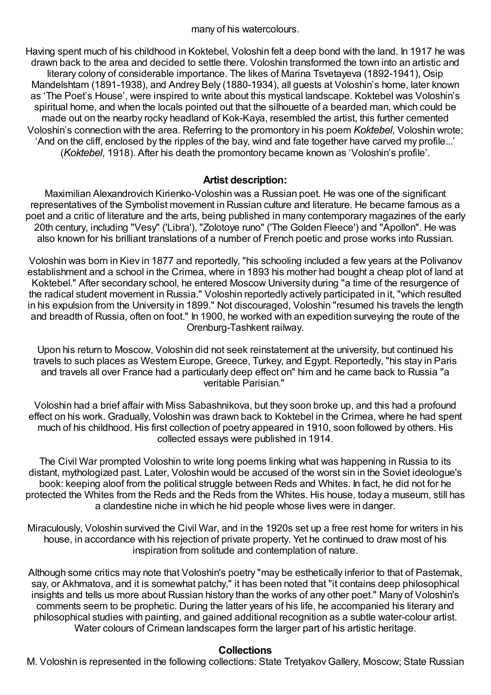many of his watercolours.

Having spent much of his childhood in Koktebel, Voloshin felt a deep bond with the land. In 1917 he was drawn back to the area and decided to settle there. Voloshin transformed the town into an artistic and literary colony of considerable importance. The likes of Marina Tsvetayeva (1892-1941), Osip Mandelshtam (1891-1938), and Andrey Bely (1880-1934), all guests at Voloshin's home, later known as 'The Poet's House', were inspired to write about this mystical landscape. Koktebel was Voloshin's spiritual home, and when the locals pointed out that the silhouette of a bearded man, which could be made out on the nearby rocky headland of Kok-Kaya, resembled the artist, this further cemented Voloshin's connection with the area. Referring to the promontory in his poem *Koktebel,* Voloshin wrote: 'And on the cliff, enclosed by the ripples of the bay, wind and fate together have carved my profile...' (*Koktebel,* 1918). After his death the promontory became known as 'Voloshin's profile'.

## **Artist description:**

Maximilian Alexandrovich Kirienko-Voloshin was a Russian poet. He was one of the significant representatives of the Symbolist movement in Russian culture and literature. He became famous as a poet and a critic of literature and the arts, being published in many contemporary magazines of the early 20th century, including "Vesy" ('Libra'), "Zolotoye runo" ('The Golden Fleece') and "Apollon". He was also known for his brilliant translations of a number of French poetic and prose works into Russian.

Voloshin was born in Kiev in 1877 and reportedly, "his schooling included a few years at the Polivanov establishment and a school in the Crimea, where in 1893 his mother had bought a cheap plot of land at Koktebel." After secondary school, he entered Moscow University during "a time of the resurgence of the radical student movement in Russia." Voloshin reportedly actively participated in it, "which resulted in his expulsion from the University in 1899." Not discouraged, Voloshin "resumed his travels the length and breadth of Russia, often on foot." In 1900, he worked with an expedition surveying the route of the Orenburg-Tashkent railway.

Upon his return to Moscow, Voloshin did not seek reinstatement at the university, but continued his travels to such places as Western Europe, Greece, Turkey, and Egypt. Reportedly, "his stay in Paris and travels all over France had a particularly deep effect on" him and he came back to Russia "a veritable Parisian."

Voloshin had a brief affair with Miss Sabashnikova, but they soon broke up, and this had a profound effect on his work. Gradually, Voloshin was drawn back to Koktebel in the Crimea, where he had spent much of his childhood. His first collection of poetry appeared in 1910, soon followed by others. His collected essays were published in 1914.

The Civil War prompted Voloshin to write long poems linking what was happening in Russia to its distant, mythologized past. Later, Voloshin would be accused of the worst sin in the Soviet ideologue's book: keeping aloof from the political struggle between Reds and Whites. In fact, he did not for he protected the Whites from the Reds and the Reds from the Whites. His house, today a museum, still has a clandestine niche in which he hid people whose lives were in danger.

Miraculously, Voloshin survived the Civil War, and in the 1920s set up a free rest home for writers in his house, in accordance with his rejection of private property. Yet he continued to draw most of his inspiration from solitude and contemplation of nature.

Although some critics may note that Voloshin's poetry "may be esthetically inferior to that of Pasternak, say, or Akhmatova, and it is somewhat patchy," it has been noted that "it contains deep philosophical insights and tells us more about Russian history than the works of any other poet." Many of Voloshin's comments seem to be prophetic. During the latter years of his life, he accompanied his literary and philosophical studies with painting, and gained additional recognition as a subtle water-colour artist. Water colours of Crimean landscapes form the larger part of his artistic heritage.

## **Collections**

M. Voloshin is represented in the following collections: State Tretyakov Gallery, Moscow; State Russian